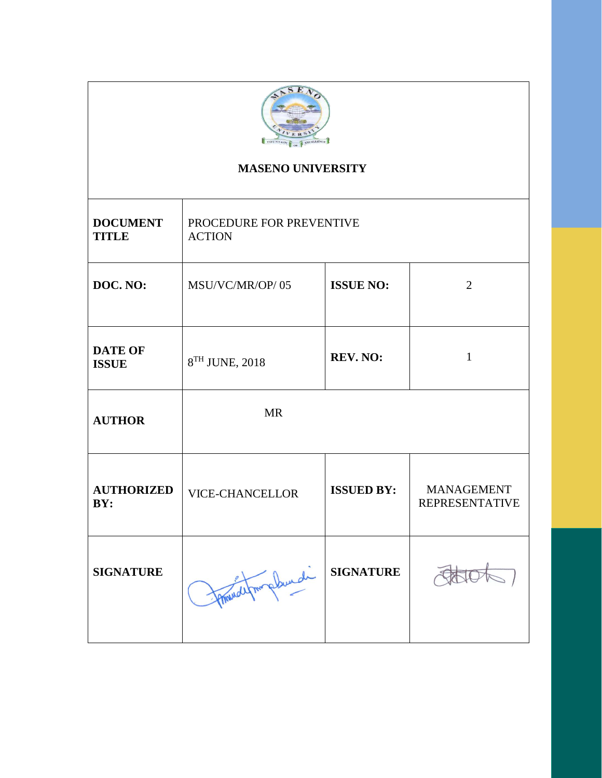

# **MASENO UNIVERSITY**

| <b>DOCUMENT</b><br><b>TITLE</b> | PROCEDURE FOR PREVENTIVE<br><b>ACTION</b> |                   |                                            |
|---------------------------------|-------------------------------------------|-------------------|--------------------------------------------|
| DOC. NO:                        | MSU/VC/MR/OP/05                           | <b>ISSUE NO:</b>  | $\overline{2}$                             |
| <b>DATE OF</b><br><b>ISSUE</b>  | 8TH JUNE, 2018                            | REV. NO:          | $\mathbf{1}$                               |
| <b>AUTHOR</b>                   | <b>MR</b>                                 |                   |                                            |
| <b>AUTHORIZED</b><br>BY:        | <b>VICE-CHANCELLOR</b>                    | <b>ISSUED BY:</b> | <b>MANAGEMENT</b><br><b>REPRESENTATIVE</b> |
| <b>SIGNATURE</b>                | implement                                 | <b>SIGNATURE</b>  |                                            |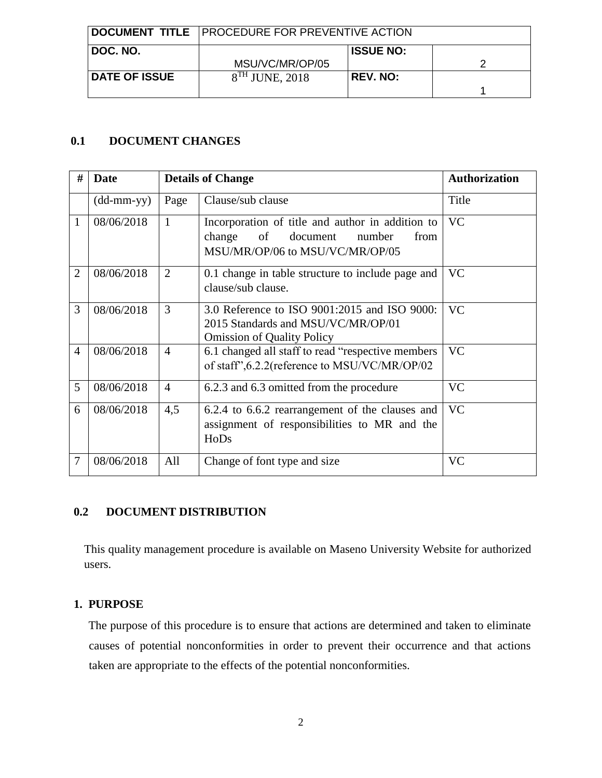|                      | <b>DOCUMENT TITLE</b> PROCEDURE FOR PREVENTIVE ACTION |                  |  |
|----------------------|-------------------------------------------------------|------------------|--|
| ⊩DOC. NO.            | MSU/VC/MR/OP/05                                       | <b>ISSUE NO:</b> |  |
| <b>DATE OF ISSUE</b> | $8TH$ JUNE, 2018                                      | <b>REV. NO:</b>  |  |

# **0.1 DOCUMENT CHANGES**

| #              | Date                       |                | <b>Details of Change</b>                                                                                                          | <b>Authorization</b> |
|----------------|----------------------------|----------------|-----------------------------------------------------------------------------------------------------------------------------------|----------------------|
|                | $(dd\text{-}mm\text{-}yy)$ | Page           | Clause/sub clause                                                                                                                 | Title                |
| 1              | 08/06/2018                 | $\mathbf{1}$   | Incorporation of title and author in addition to<br>of<br>number<br>change<br>document<br>from<br>MSU/MR/OP/06 to MSU/VC/MR/OP/05 | <b>VC</b>            |
| $\overline{2}$ | 08/06/2018                 | 2              | 0.1 change in table structure to include page and<br>clause/sub clause.                                                           | <b>VC</b>            |
| 3              | 08/06/2018                 | 3              | 3.0 Reference to ISO 9001:2015 and ISO 9000:<br>2015 Standards and MSU/VC/MR/OP/01<br><b>Omission of Quality Policy</b>           | <b>VC</b>            |
| $\overline{4}$ | 08/06/2018                 | $\overline{4}$ | 6.1 changed all staff to read "respective members"<br>of staff", 6.2.2(reference to MSU/VC/MR/OP/02                               | <b>VC</b>            |
| 5              | 08/06/2018                 | $\overline{4}$ | 6.2.3 and 6.3 omitted from the procedure                                                                                          | <b>VC</b>            |
| 6              | 08/06/2018                 | 4,5            | 6.2.4 to 6.6.2 rearrangement of the clauses and<br>assignment of responsibilities to MR and the<br>HoDs                           | <b>VC</b>            |
| 7              | 08/06/2018                 | All            | Change of font type and size                                                                                                      | <b>VC</b>            |

# **0.2 DOCUMENT DISTRIBUTION**

 This quality management procedure is available on Maseno University Website for authorized users.

### **1. PURPOSE**

The purpose of this procedure is to ensure that actions are determined and taken to eliminate causes of potential nonconformities in order to prevent their occurrence and that actions taken are appropriate to the effects of the potential nonconformities.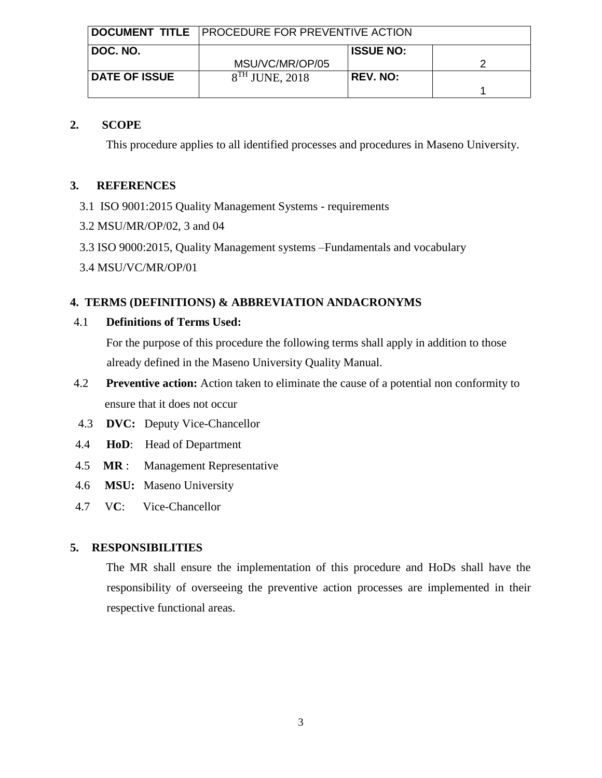|                      | <b>DOCUMENT TITLE</b> PROCEDURE FOR PREVENTIVE ACTION |                  |  |
|----------------------|-------------------------------------------------------|------------------|--|
| DOC. NO.             | MSU/VC/MR/OP/05                                       | <b>ISSUE NO:</b> |  |
| <b>DATE OF ISSUE</b> | $8TH$ JUNE, 2018                                      | <b>REV. NO:</b>  |  |

### **2. SCOPE**

This procedure applies to all identified processes and procedures in Maseno University.

### **3. REFERENCES**

- 3.1 ISO 9001:2015 Quality Management Systems requirements
- 3.2 MSU/MR/OP/02, 3 and 04
- 3.3 ISO 9000:2015, Quality Management systems –Fundamentals and vocabulary
- 3.4 MSU/VC/MR/OP/01

### **4. TERMS (DEFINITIONS) & ABBREVIATION ANDACRONYMS**

### 4.1 **Definitions of Terms Used:**

For the purpose of this procedure the following terms shall apply in addition to those already defined in the Maseno University Quality Manual.

- 4.2 **Preventive action:** Action taken to eliminate the cause of a potential non conformity to ensure that it does not occur
- 4.3 **DVC:** Deputy Vice-Chancellor
- 4.4 **HoD**: Head of Department
- 4.5 **MR** : Management Representative
- 4.6 **MSU:** Maseno University
- 4.7 V**C**: Vice-Chancellor

# **5. RESPONSIBILITIES**

The MR shall ensure the implementation of this procedure and HoDs shall have the responsibility of overseeing the preventive action processes are implemented in their respective functional areas.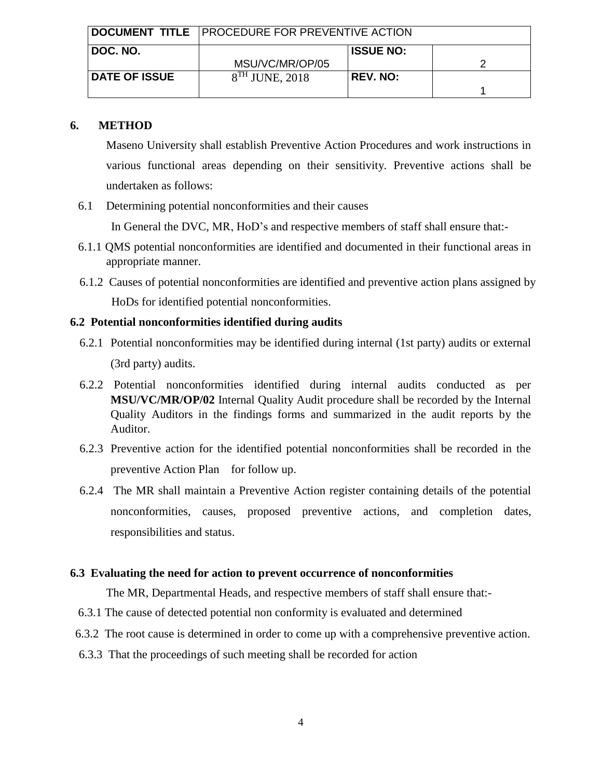|                      | DOCUMENT TITLE PROCEDURE FOR PREVENTIVE ACTION |                  |  |
|----------------------|------------------------------------------------|------------------|--|
| ∣ DOC. NO.           | MSU/VC/MR/OP/05                                | <b>ISSUE NO:</b> |  |
| <b>DATE OF ISSUE</b> | $8TH$ JUNE, 2018                               | <b>REV. NO:</b>  |  |

#### **6. METHOD**

Maseno University shall establish Preventive Action Procedures and work instructions in various functional areas depending on their sensitivity. Preventive actions shall be undertaken as follows:

6.1 Determining potential nonconformities and their causes

In General the DVC, MR, HoD's and respective members of staff shall ensure that:-

- 6.1.1 QMS potential nonconformities are identified and documented in their functional areas in appropriate manner.
- 6.1.2 Causes of potential nonconformities are identified and preventive action plans assigned by HoDs for identified potential nonconformities.

### **6.2 Potential nonconformities identified during audits**

- 6.2.1 Potential nonconformities may be identified during internal (1st party) audits or external (3rd party) audits.
- 6.2.2 Potential nonconformities identified during internal audits conducted as per **MSU/VC/MR/OP/02** Internal Quality Audit procedure shall be recorded by the Internal Quality Auditors in the findings forms and summarized in the audit reports by the Auditor.
- 6.2.3 Preventive action for the identified potential nonconformities shall be recorded in the preventive Action Plan for follow up.
- 6.2.4 The MR shall maintain a Preventive Action register containing details of the potential nonconformities, causes, proposed preventive actions, and completion dates, responsibilities and status.

### **6.3 Evaluating the need for action to prevent occurrence of nonconformities**

The MR, Departmental Heads, and respective members of staff shall ensure that:-

- 6.3.1 The cause of detected potential non conformity is evaluated and determined
- 6.3.2 The root cause is determined in order to come up with a comprehensive preventive action.
- 6.3.3 That the proceedings of such meeting shall be recorded for action